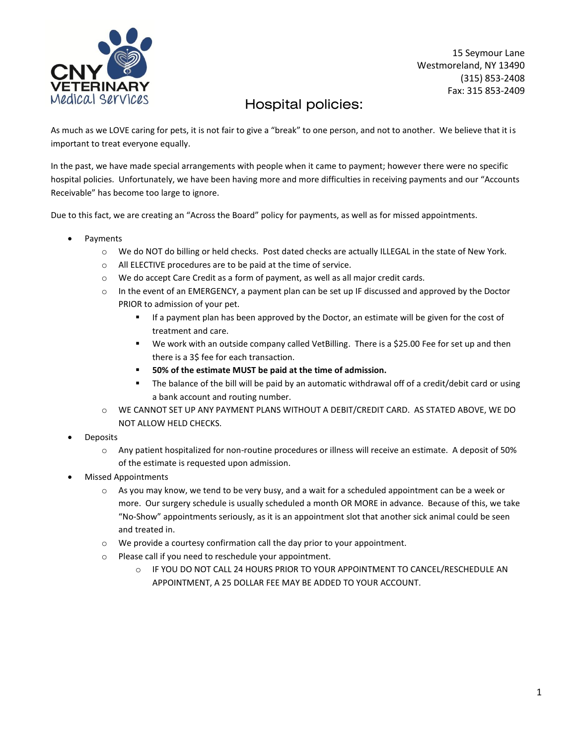

15 Seymour Lane Westmoreland, NY 13490 (315) 853-2408 Fax: 315 853-2409

## Hospital policies:

As much as we LOVE caring for pets, it is not fair to give a "break" to one person, and not to another. We believe that it is important to treat everyone equally.

In the past, we have made special arrangements with people when it came to payment; however there were no specific hospital policies. Unfortunately, we have been having more and more difficulties in receiving payments and our "Accounts Receivable" has become too large to ignore.

Due to this fact, we are creating an "Across the Board" policy for payments, as well as for missed appointments.

- Payments
	- o We do NOT do billing or held checks. Post dated checks are actually ILLEGAL in the state of New York.
	- o All ELECTIVE procedures are to be paid at the time of service.
	- $\circ$  We do accept Care Credit as a form of payment, as well as all major credit cards.
	- $\circ$  In the event of an EMERGENCY, a payment plan can be set up IF discussed and approved by the Doctor PRIOR to admission of your pet.
		- If a payment plan has been approved by the Doctor, an estimate will be given for the cost of treatment and care.
		- We work with an outside company called VetBilling. There is a \$25.00 Fee for set up and then there is a 3\$ fee for each transaction.
		- **50% of the estimate MUST be paid at the time of admission.**
		- The balance of the bill will be paid by an automatic withdrawal off of a credit/debit card or using a bank account and routing number.
	- o WE CANNOT SET UP ANY PAYMENT PLANS WITHOUT A DEBIT/CREDIT CARD. AS STATED ABOVE, WE DO NOT ALLOW HELD CHECKS.
- Deposits
	- o Any patient hospitalized for non-routine procedures or illness will receive an estimate. A deposit of 50% of the estimate is requested upon admission.
- Missed Appointments
	- $\circ$  As you may know, we tend to be very busy, and a wait for a scheduled appointment can be a week or more. Our surgery schedule is usually scheduled a month OR MORE in advance. Because of this, we take "No-Show" appointments seriously, as it is an appointment slot that another sick animal could be seen and treated in.
	- o We provide a courtesy confirmation call the day prior to your appointment.
	- o Please call if you need to reschedule your appointment.
		- o IF YOU DO NOT CALL 24 HOURS PRIOR TO YOUR APPOINTMENT TO CANCEL/RESCHEDULE AN APPOINTMENT, A 25 DOLLAR FEE MAY BE ADDED TO YOUR ACCOUNT.